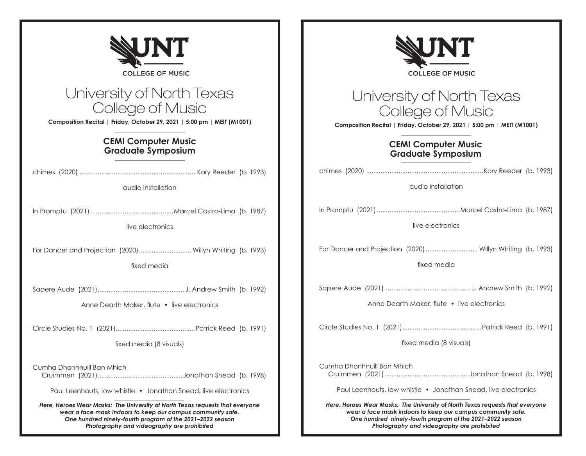| UNT                                                                                                                                                                                                                                                     |                                                                                                                                                                                                                                                         |
|---------------------------------------------------------------------------------------------------------------------------------------------------------------------------------------------------------------------------------------------------------|---------------------------------------------------------------------------------------------------------------------------------------------------------------------------------------------------------------------------------------------------------|
| <b>COLLEGE OF MUSIC</b>                                                                                                                                                                                                                                 | <b>COLLEGE OF MUSIC</b>                                                                                                                                                                                                                                 |
| University of North Texas<br>College of Music<br>Composition Recital   Friday, October 29, 2021   5:00 pm   MEIT (M1001)                                                                                                                                | University of North Texas<br>College of Music<br>Composition Recital   Friday, October 29, 2021   5:00 pm   MEIT (M1001)                                                                                                                                |
| <b>CEMI Computer Music</b><br><b>Graduate Symposium</b>                                                                                                                                                                                                 | <b>CEMI Computer Music</b><br><b>Graduate Symposium</b>                                                                                                                                                                                                 |
| audio installation                                                                                                                                                                                                                                      | audio installation                                                                                                                                                                                                                                      |
| live electronics                                                                                                                                                                                                                                        | live electronics                                                                                                                                                                                                                                        |
| For Dancer and Projection (2020)  Willyn Whiting (b. 1993)<br>fixed media                                                                                                                                                                               | For Dancer and Projection (2020)  Willyn Whiting (b. 1993)<br>fixed media                                                                                                                                                                               |
| Anne Dearth Maker, flute • live electronics                                                                                                                                                                                                             | Anne Dearth Maker, flute • live electronics                                                                                                                                                                                                             |
| fixed media (8 visuals)                                                                                                                                                                                                                                 | fixed media (8 visuals)                                                                                                                                                                                                                                 |
| Cumha Dhonhnuill Ban Mhich                                                                                                                                                                                                                              | Cumha Dhonhnuill Ban Mhich                                                                                                                                                                                                                              |
| Paul Leenhouts, low whistle • Jonathan Snead, live electronics                                                                                                                                                                                          | Paul Leenhouts, low whistle • Jonathan Snead, live electronics                                                                                                                                                                                          |
| Here, Heroes Wear Masks: The University of North Texas requests that everyone<br>wear a face mask indoors to keep our campus community safe.<br>One hundred ninety-fourth program of the 2021-2022 season<br>Photography and videography are prohibited | Here, Heroes Wear Masks: The University of North Texas requests that everyone<br>wear a face mask indoors to keep our campus community safe.<br>One hundred ninety-fourth program of the 2021-2022 season<br>Photography and videography are prohibited |

Ŧ

Г